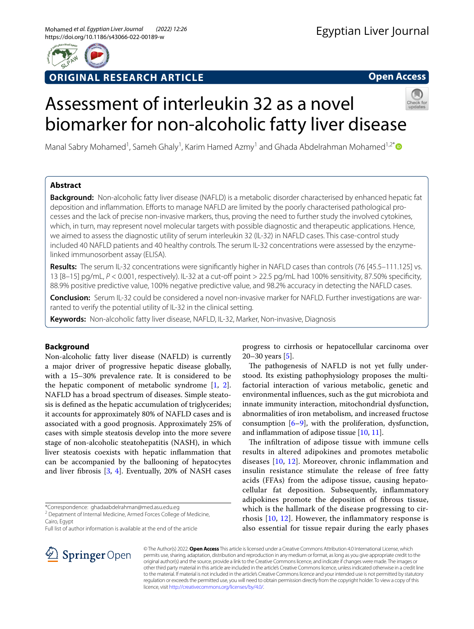

# **ORIGINAL RESEARCH ARTICLE**

**Open Access**

# Assessment of interleukin 32 as a novel biomarker for non-alcoholic fatty liver disease



Manal Sabry Mohamed<sup>1</sup>, Sameh Ghaly<sup>1</sup>, Karim Hamed Azmy<sup>1</sup> and Ghada Abdelrahman Mohamed<sup>1,2[\\*](http://orcid.org/0000-0003-0320-1011)</sup>

# **Abstract**

**Background:** Non-alcoholic fatty liver disease (NAFLD) is a metabolic disorder characterised by enhanced hepatic fat deposition and infammation. Eforts to manage NAFLD are limited by the poorly characterised pathological processes and the lack of precise non-invasive markers, thus, proving the need to further study the involved cytokines, which, in turn, may represent novel molecular targets with possible diagnostic and therapeutic applications. Hence, we aimed to assess the diagnostic utility of serum interleukin 32 (IL-32) in NAFLD cases. This case-control study included 40 NAFLD patients and 40 healthy controls. The serum IL-32 concentrations were assessed by the enzymelinked immunosorbent assay (ELISA).

**Results:** The serum IL-32 concentrations were signifcantly higher in NAFLD cases than controls (76 [45.5–111.125] vs. 13 [8–15] pg/mL, *P* < 0.001, respectively). IL-32 at a cut-of point > 22.5 pg/mL had 100% sensitivity, 87.50% specifcity, 88.9% positive predictive value, 100% negative predictive value, and 98.2% accuracy in detecting the NAFLD cases.

**Conclusion:** Serum IL-32 could be considered a novel non-invasive marker for NAFLD. Further investigations are warranted to verify the potential utility of IL-32 in the clinical setting.

**Keywords:** Non-alcoholic fatty liver disease, NAFLD, IL-32, Marker, Non-invasive, Diagnosis

# **Background**

Non-alcoholic fatty liver disease (NAFLD) is currently a major driver of progressive hepatic disease globally, with a 15–30% prevalence rate. It is considered to be the hepatic component of metabolic syndrome [\[1](#page-5-0), [2](#page-5-1)]. NAFLD has a broad spectrum of diseases. Simple steatosis is defned as the hepatic accumulation of triglycerides; it accounts for approximately 80% of NAFLD cases and is associated with a good prognosis. Approximately 25% of cases with simple steatosis develop into the more severe stage of non-alcoholic steatohepatitis (NASH), in which liver steatosis coexists with hepatic infammation that can be accompanied by the ballooning of hepatocytes and liver fbrosis [[3,](#page-5-2) [4](#page-5-3)]. Eventually, 20% of NASH cases

\*Correspondence: ghadaabdelrahman@med.asu.edu.eg

<sup>2</sup> Depatment of Internal Medicine, Armed Forces College of Medicine, Cairo, Egypt

Full list of author information is available at the end of the article

progress to cirrhosis or hepatocellular carcinoma over 20–30 years  $[5]$  $[5]$ .

The pathogenesis of NAFLD is not yet fully understood. Its existing pathophysiology proposes the multifactorial interaction of various metabolic, genetic and environmental infuences, such as the gut microbiota and innate immunity interaction, mitochondrial dysfunction, abnormalities of iron metabolism, and increased fructose consumption  $[6-9]$  $[6-9]$ , with the proliferation, dysfunction, and infammation of adipose tissue [[10](#page-5-7), [11\]](#page-5-8).

The infiltration of adipose tissue with immune cells results in altered adipokines and promotes metabolic diseases [[10,](#page-5-7) [12\]](#page-5-9). Moreover, chronic infammation and insulin resistance stimulate the release of free fatty acids (FFAs) from the adipose tissue, causing hepatocellular fat deposition. Subsequently, infammatory adipokines promote the deposition of fbrous tissue, which is the hallmark of the disease progressing to cirrhosis [[10,](#page-5-7) [12](#page-5-9)]. However, the infammatory response is also essential for tissue repair during the early phases



© The Author(s) 2022. **Open Access** This article is licensed under a Creative Commons Attribution 4.0 International License, which permits use, sharing, adaptation, distribution and reproduction in any medium or format, as long as you give appropriate credit to the original author(s) and the source, provide a link to the Creative Commons licence, and indicate if changes were made. The images or other third party material in this article are included in the article's Creative Commons licence, unless indicated otherwise in a credit line to the material. If material is not included in the article's Creative Commons licence and your intended use is not permitted by statutory regulation or exceeds the permitted use, you will need to obtain permission directly from the copyright holder. To view a copy of this licence, visit [http://creativecommons.org/licenses/by/4.0/.](http://creativecommons.org/licenses/by/4.0/)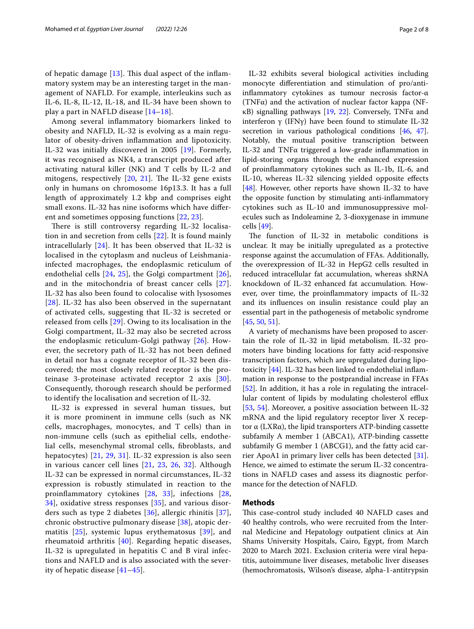of hepatic damage  $[13]$  $[13]$  $[13]$ . This dual aspect of the inflammatory system may be an interesting target in the management of NAFLD. For example, interleukins such as IL-6, IL-8, IL-12, IL-18, and IL-34 have been shown to play a part in NAFLD disease [[14–](#page-5-11)[18](#page-5-12)].

Among several infammatory biomarkers linked to obesity and NAFLD, IL-32 is evolving as a main regulator of obesity-driven infammation and lipotoxicity. IL-32 was initially discovered in 2005 [\[19](#page-5-13)]. Formerly, it was recognised as NK4, a transcript produced after activating natural killer (NK) and T cells by IL-2 and mitogens, respectively  $[20, 21]$  $[20, 21]$  $[20, 21]$  $[20, 21]$  $[20, 21]$ . The IL-32 gene exists only in humans on chromosome 16p13.3. It has a full length of approximately 1.2 kbp and comprises eight small exons. IL-32 has nine isoforms which have diferent and sometimes opposing functions [\[22](#page-6-1), [23](#page-6-2)].

There is still controversy regarding IL-32 localisation in and secretion from cells [\[22\]](#page-6-1). It is found mainly intracellularly [\[24](#page-6-3)]. It has been observed that IL-32 is localised in the cytoplasm and nucleus of Leishmaniainfected macrophages, the endoplasmic reticulum of endothelial cells [\[24](#page-6-3), [25](#page-6-4)], the Golgi compartment [[26\]](#page-6-5), and in the mitochondria of breast cancer cells [[27\]](#page-6-6). IL-32 has also been found to colocalise with lysosomes [[28](#page-6-7)]. IL-32 has also been observed in the supernatant of activated cells, suggesting that IL-32 is secreted or released from cells [[29\]](#page-6-8). Owing to its localisation in the Golgi compartment, IL-32 may also be secreted across the endoplasmic reticulum-Golgi pathway [[26\]](#page-6-5). However, the secretory path of IL-32 has not been defned in detail nor has a cognate receptor of IL-32 been discovered; the most closely related receptor is the proteinase 3-proteinase activated receptor 2 axis [[30\]](#page-6-9). Consequently, thorough research should be performed to identify the localisation and secretion of IL-32.

IL-32 is expressed in several human tissues, but it is more prominent in immune cells (such as NK cells, macrophages, monocytes, and T cells) than in non-immune cells (such as epithelial cells, endothelial cells, mesenchymal stromal cells, fbroblasts, and hepatocytes) [[21](#page-6-0), [29,](#page-6-8) [31\]](#page-6-10). IL-32 expression is also seen in various cancer cell lines [\[21](#page-6-0), [23](#page-6-2), [26,](#page-6-5) [32](#page-6-11)]. Although IL-32 can be expressed in normal circumstances, IL-32 expression is robustly stimulated in reaction to the proinfammatory cytokines [\[28](#page-6-7), [33](#page-6-12)], infections [\[28](#page-6-7), [34\]](#page-6-13), oxidative stress responses [[35](#page-6-14)], and various disorders such as type 2 diabetes [\[36](#page-6-15)], allergic rhinitis [[37\]](#page-6-16), chronic obstructive pulmonary disease [\[38\]](#page-6-17), atopic dermatitis [\[25](#page-6-4)], systemic lupus erythematosus [\[39](#page-6-18)], and rheumatoid arthritis [[40\]](#page-6-19). Regarding hepatic diseases, IL-32 is upregulated in hepatitis C and B viral infections and NAFLD and is also associated with the severity of hepatic disease [[41](#page-6-20)[–45](#page-6-21)].

IL-32 exhibits several biological activities including monocyte diferentiation and stimulation of pro/antiinfammatory cytokines as tumour necrosis factor-α (TNF $\alpha$ ) and the activation of nuclear factor kappa (NFκB) signalling pathways [[19,](#page-5-13) [22](#page-6-1)]. Conversely, TNFα and interferon γ (IFNγ) have been found to stimulate IL-32 secretion in various pathological conditions [[46](#page-6-22), [47](#page-6-23)]. Notably, the mutual positive transcription between IL-32 and TNFα triggered a low-grade infammation in lipid-storing organs through the enhanced expression of proinfammatory cytokines such as IL-1b, IL-6, and IL-10, whereas IL-32 silencing yielded opposite efects [[48\]](#page-6-24). However, other reports have shown IL-32 to have the opposite function by stimulating anti-infammatory cytokines such as IL-10 and immunosuppressive molecules such as Indoleamine 2, 3-dioxygenase in immune cells [[49\]](#page-6-25).

The function of IL-32 in metabolic conditions is unclear. It may be initially upregulated as a protective response against the accumulation of FFAs. Additionally, the overexpression of IL-32 in HepG2 cells resulted in reduced intracellular fat accumulation, whereas shRNA knockdown of IL-32 enhanced fat accumulation. However, over time, the proinfammatory impacts of IL-32 and its infuences on insulin resistance could play an essential part in the pathogenesis of metabolic syndrome [[45,](#page-6-21) [50](#page-7-0), [51\]](#page-7-1).

A variety of mechanisms have been proposed to ascertain the role of IL-32 in lipid metabolism. IL-32 promoters have binding locations for fatty acid-responsive transcription factors, which are upregulated during lipotoxicity [[44\]](#page-6-26). IL-32 has been linked to endothelial infammation in response to the postprandial increase in FFAs [[52\]](#page-7-2). In addition, it has a role in regulating the intracellular content of lipids by modulating cholesterol efflux [[53,](#page-7-3) [54](#page-7-4)]. Moreover, a positive association between IL-32 mRNA and the lipid regulatory receptor liver X receptor α (LXRα), the lipid transporters ATP-binding cassette subfamily A member 1 (ABCA1), ATP-binding cassette subfamily G member 1 (ABCG1), and the fatty acid carrier ApoA1 in primary liver cells has been detected [\[31](#page-6-10)]. Hence, we aimed to estimate the serum IL-32 concentrations in NAFLD cases and assess its diagnostic performance for the detection of NAFLD.

# **Methods**

This case-control study included 40 NAFLD cases and 40 healthy controls, who were recruited from the Internal Medicine and Hepatology outpatient clinics at Ain Shams University Hospitals, Cairo, Egypt, from March 2020 to March 2021. Exclusion criteria were viral hepatitis, autoimmune liver diseases, metabolic liver diseases (hemochromatosis, Wilson's disease, alpha-1-antitrypsin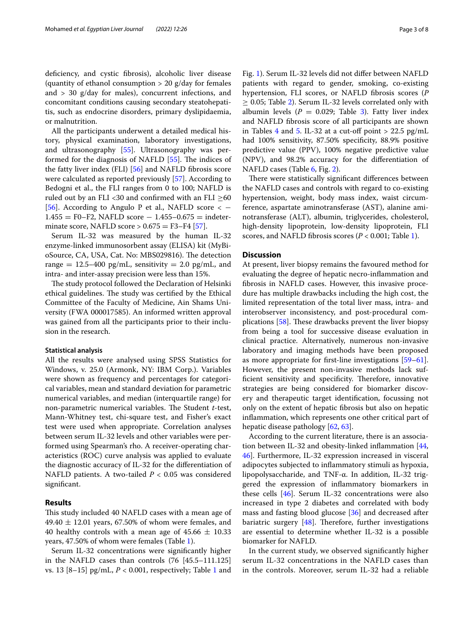deficiency, and cystic fibrosis), alcoholic liver disease (quantity of ethanol consumption  $> 20$  g/day for females and  $>$  30 g/day for males), concurrent infections, and concomitant conditions causing secondary steatohepatitis, such as endocrine disorders, primary dyslipidaemia, or malnutrition.

All the participants underwent a detailed medical history, physical examination, laboratory investigations, and ultrasonography [[55\]](#page-7-5). Ultrasonography was performed for the diagnosis of NAFLD  $[55]$  $[55]$ . The indices of the fatty liver index (FLI) [[56\]](#page-7-6) and NAFLD fbrosis score were calculated as reported previously [\[57](#page-7-7)]. According to Bedogni et al., the FLI ranges from 0 to 100; NAFLD is ruled out by an FLI <30 and confirmed with an FLI  $\geq$ 60 [[56\]](#page-7-6). According to Angulo P et al., NAFLD score  $\lt$  - $1.455 = F0-F2$ , NAFLD score  $- 1.455 - 0.675 =$  indeterminate score, NAFLD score  $> 0.675 = F3-F4$  [\[57](#page-7-7)].

Serum IL-32 was measured by the human IL-32 enzyme-linked immunosorbent assay (ELISA) kit (MyBioSource, CA, USA, Cat. No: MBS029816). The detection range =  $12.5-400$  pg/mL, sensitivity = 2.0 pg/mL, and intra- and inter-assay precision were less than 15%.

The study protocol followed the Declaration of Helsinki ethical guidelines. The study was certified by the Ethical Committee of the Faculty of Medicine, Ain Shams University (FWA 000017585). An informed written approval was gained from all the participants prior to their inclusion in the research.

## **Statistical analysis**

All the results were analysed using SPSS Statistics for Windows, v. 25.0 (Armonk, NY: IBM Corp.). Variables were shown as frequency and percentages for categorical variables, mean and standard deviation for parametric numerical variables, and median (interquartile range) for non-parametric numerical variables. The Student *t*-test, Mann-Whitney test, chi-square test, and Fisher's exact test were used when appropriate. Correlation analyses between serum IL-32 levels and other variables were performed using Spearman's rho. A receiver-operating characteristics (ROC) curve analysis was applied to evaluate the diagnostic accuracy of IL-32 for the diferentiation of NAFLD patients. A two-tailed *P* < 0.05 was considered signifcant.

## **Results**

This study included 40 NAFLD cases with a mean age of  $49.40 \pm 12.01$  years, 67.50% of whom were females, and 40 healthy controls with a mean age of  $45.66 \pm 10.33$ years, 47.50% of whom were females (Table [1\)](#page-3-0).

Serum IL-32 concentrations were signifcantly higher in the NAFLD cases than controls (76 [45.5–111.125] vs. 13 [8–15] pg/mL, *P* < 0.001, respectively; Table [1](#page-3-0) and Fig. [1\)](#page-3-1). Serum IL-32 levels did not difer between NAFLD patients with regard to gender, smoking, co-existing hypertension, FLI scores, or NAFLD fbrosis scores (*P*  $\geq$  0.05; Table [2\)](#page-3-2). Serum IL-32 levels correlated only with albumin levels ( $P = 0.029$ ; Table [3\)](#page-4-0). Fatty liver index and NAFLD fbrosis score of all participants are shown in Tables [4](#page-4-1) and [5](#page-4-2). IL-32 at a cut-off point  $> 22.5$  pg/mL had 100% sensitivity, 87.50% specifcity, 88.9% positive predictive value (PPV), 100% negative predictive value (NPV), and 98.2% accuracy for the diferentiation of NAFLD cases (Table [6,](#page-4-3) Fig. [2](#page-4-4)).

There were statistically significant differences between the NAFLD cases and controls with regard to co-existing hypertension, weight, body mass index, waist circumference, aspartate aminotransferase (AST), alanine aminotransferase (ALT), albumin, triglycerides, cholesterol, high-density lipoprotein, low-density lipoprotein, FLI scores, and NAFLD fbrosis scores (*P* < 0.001; Table [1](#page-3-0)).

#### **Discussion**

At present, liver biopsy remains the favoured method for evaluating the degree of hepatic necro-infammation and fbrosis in NAFLD cases. However, this invasive procedure has multiple drawbacks including the high cost, the limited representation of the total liver mass, intra- and interobserver inconsistency, and post-procedural complications  $[58]$  $[58]$ . These drawbacks prevent the liver biopsy from being a tool for successive disease evaluation in clinical practice. Alternatively, numerous non-invasive laboratory and imaging methods have been proposed as more appropriate for frst-line investigations [[59](#page-7-9)[–61](#page-7-10)]. However, the present non-invasive methods lack sufficient sensitivity and specificity. Therefore, innovative strategies are being considered for biomarker discovery and therapeutic target identifcation, focussing not only on the extent of hepatic fbrosis but also on hepatic infammation, which represents one other critical part of hepatic disease pathology [[62](#page-7-11), [63\]](#page-7-12).

According to the current literature, there is an associa-tion between IL-32 and obesity-linked inflammation [[44](#page-6-26), [46\]](#page-6-22). Furthermore, IL-32 expression increased in visceral adipocytes subjected to infammatory stimuli as hypoxia, lipopolysaccharide, and TNF-α. In addition, IL-32 triggered the expression of infammatory biomarkers in these cells [[46\]](#page-6-22). Serum IL-32 concentrations were also increased in type 2 diabetes and correlated with body mass and fasting blood glucose [[36\]](#page-6-15) and decreased after bariatric surgery  $[48]$  $[48]$ . Therefore, further investigations are essential to determine whether IL-32 is a possible biomarker for NAFLD.

In the current study, we observed signifcantly higher serum IL-32 concentrations in the NAFLD cases than in the controls. Moreover, serum IL-32 had a reliable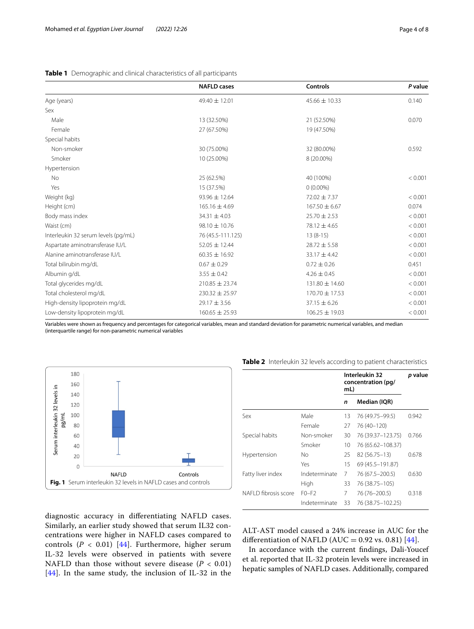|                                     | <b>NAFLD</b> cases | <b>Controls</b>    | P value |
|-------------------------------------|--------------------|--------------------|---------|
| Age (years)                         | $49.40 \pm 12.01$  | $45.66 \pm 10.33$  | 0.140   |
| Sex                                 |                    |                    |         |
| Male                                | 13 (32.50%)        | 21 (52.50%)        | 0.070   |
| Female                              | 27 (67.50%)        | 19 (47.50%)        |         |
| Special habits                      |                    |                    |         |
| Non-smoker                          | 30 (75.00%)        | 32 (80.00%)        | 0.592   |
| Smoker                              | 10 (25.00%)        | 8 (20.00%)         |         |
| Hypertension                        |                    |                    |         |
| <b>No</b>                           | 25 (62.5%)         | 40 (100%)          | < 0.001 |
| Yes                                 | 15 (37.5%)         | $0(0.00\%)$        |         |
| Weight (kg)                         | $93.96 \pm 12.64$  | 72.02 ± 7.37       | < 0.001 |
| Height (cm)                         | $165.16 \pm 4.69$  | $167.50 \pm 6.67$  | 0.074   |
| Body mass index                     | $34.31 \pm 4.03$   | $25.70 \pm 2.53$   | < 0.001 |
| Waist (cm)                          | $98.10 \pm 10.76$  | $78.12 \pm 4.65$   | < 0.001 |
| Interleukin 32 serum levels (pg/mL) | 76 (45.5-111.125)  | $13(8-15)$         | < 0.001 |
| Aspartate aminotransferase IU/L     | $52.05 \pm 12.44$  | $28.72 \pm 5.58$   | < 0.001 |
| Alanine aminotransferase IU/L       | $60.35 \pm 16.92$  | $33.17 \pm 4.42$   | < 0.001 |
| Total bilirubin mg/dL               | $0.67 \pm 0.29$    | $0.72 \pm 0.26$    | 0.451   |
| Albumin g/dL                        | $3.55 \pm 0.42$    | $4.26 \pm 0.45$    | < 0.001 |
| Total glycerides mg/dL              | $210.85 \pm 23.74$ | $131.80 \pm 14.60$ | < 0.001 |
| Total cholesterol mg/dL             | $230.32 \pm 25.97$ | 170.70 ± 17.53     | < 0.001 |
| High-density lipoprotein mg/dL      | $29.17 \pm 3.56$   | $37.15 \pm 6.26$   | < 0.001 |
| Low-density lipoprotein mg/dL       | $160.65 \pm 25.93$ | $106.25 \pm 19.03$ | < 0.001 |

# <span id="page-3-0"></span>**Table 1** Demographic and clinical characteristics of all participants

Variables were shown as frequency and percentages for categorical variables, mean and standard deviation for parametric numerical variables, and median (interquartile range) for non-parametric numerical variables



|                      |               | Interleukin 32<br>concentration (pg/<br>mL) |                     | p value |  |
|----------------------|---------------|---------------------------------------------|---------------------|---------|--|
|                      |               | n                                           | Median (IQR)        |         |  |
| Sex                  | Male          | 13                                          | 76 (49.75 - 99.5)   | 0.942   |  |
|                      | Female        | 27                                          | 76 (40-120)         |         |  |
| Special habits       | Non-smoker    | 30                                          | 76 (39.37 - 123.75) | 0.766   |  |
|                      | Smoker        | 10                                          | 76 (65.62 – 108.37) |         |  |
| Hypertension         | Nο            | 25                                          | 82 (56.75 - 13)     | 0.678   |  |
|                      | Yes           | 15                                          | 69 (45.5 - 191.87)  |         |  |
| Fatty liver index    | Indeterminate | 7                                           | 76 (67.5 - 200.5)   | 0.630   |  |
|                      | High          | 33                                          | 76 (38.75 - 105)    |         |  |
| NAFLD fibrosis score | $F0-F2$       | 7                                           | 76 (76–200.5)       | 0.318   |  |
|                      | Indeterminate | 33                                          | 76 (38.75 - 102.25) |         |  |

<span id="page-3-2"></span>**Table 2** Interleukin 32 levels according to patient characteristics

<span id="page-3-1"></span>diagnostic accuracy in diferentiating NAFLD cases. Similarly, an earlier study showed that serum IL32 concentrations were higher in NAFLD cases compared to controls  $(P < 0.01)$  [[44\]](#page-6-26). Furthermore, higher serum IL-32 levels were observed in patients with severe NAFLD than those without severe disease  $(P < 0.01)$ [[44](#page-6-26)]. In the same study, the inclusion of IL-32 in the

ALT-AST model caused a 24% increase in AUC for the differentiation of NAFLD (AUC =  $0.92$  vs. 0.81) [\[44](#page-6-26)].

In accordance with the current fndings, Dali-Youcef et al. reported that IL-32 protein levels were increased in hepatic samples of NAFLD cases. Additionally, compared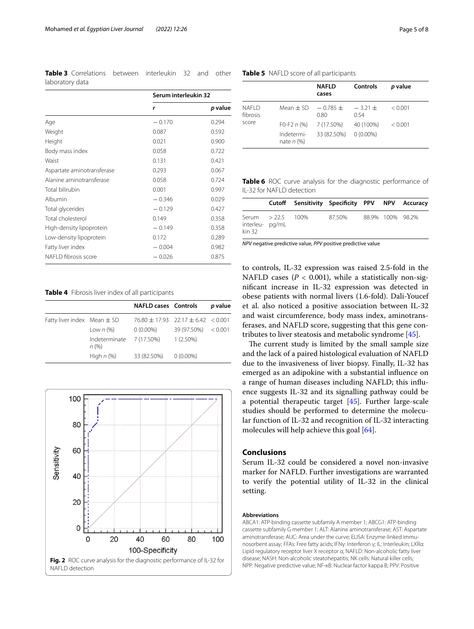<span id="page-4-0"></span>**Table 3** Correlations between interleukin 32 and other laboratory data

|                            | Serum interleukin 32 |         |  |
|----------------------------|----------------------|---------|--|
|                            | r                    | p value |  |
| Age                        | $-0.170$             | 0.294   |  |
| Weight                     | 0.087                | 0.592   |  |
| Height                     | 0.021                | 0.900   |  |
| Body mass index            | 0.058                | 0.722   |  |
| Waist                      | 0.131                | 0.421   |  |
| Aspartate aminotransferase | 0.293                | 0.067   |  |
| Alanine aminotransferase   | 0.058                | 0.724   |  |
| Total bilirubin            | 0.001                | 0.997   |  |
| Albumin                    | $-0.346$             | 0.029   |  |
| Total glycerides           | $-0.129$             | 0.427   |  |
| Total cholesterol          | 0.149                | 0.358   |  |
| High-density lipoprotein   | $-0.149$             | 0.358   |  |
| Low-density lipoprotein    | 0.172                | 0.289   |  |
| Fatty liver index          | $-0.004$             | 0.982   |  |
| NAFLD fibrosis score       | $-0.026$             | 0.875   |  |

<span id="page-4-1"></span>**Table 4** Fibrosis liver index of all participants

|                                 |                                  | <b>NAFLD cases Controls</b>            |                       | p value |
|---------------------------------|----------------------------------|----------------------------------------|-----------------------|---------|
| Fatty liver index Mean $\pm$ SD |                                  | $76.80 + 17.93$ $22.17 + 6.42$ < 0.001 |                       |         |
|                                 | Low $n$ (%)                      | $0(0.00\%)$                            | $39(97.50\%) < 0.001$ |         |
|                                 | Indeterminate 7 (17.50%)<br>n(%) |                                        | $1(2.50\%)$           |         |
|                                 | High $n$ (%)                     | 33 (82.50%) 0 (0.00%)                  |                       |         |

<span id="page-4-4"></span>

<span id="page-4-2"></span>**Table 5** NAFLD score of all participants

|                    |                                                                      | <b>NAFLD</b><br>cases     | Controls                 | <i>p</i> value |
|--------------------|----------------------------------------------------------------------|---------------------------|--------------------------|----------------|
| NAFI D<br>fibrosis | Mean $\pm$ SD                                                        | $-0.785 +$<br>0.80        | $-3.21 +$<br>0.54        | < 0.001        |
| score              | F <sub>0</sub> -F <sub>2</sub> $n$ (%)<br>Indetermi-<br>nate $n$ (%) | 7 (17.50%)<br>33 (82.50%) | 40 (100%)<br>$0(0.00\%)$ | < 0.001        |

<span id="page-4-3"></span>**Table 6** ROC curve analysis for the diagnostic performance of IL-32 for NAFLD detection

|                          |                   | Cutoff Sensitivity Specificity PPV NPV Accuracy |        |                  |  |
|--------------------------|-------------------|-------------------------------------------------|--------|------------------|--|
| interleu-pg/mL<br>kin 32 | Serum > 22.5 100% |                                                 | 87.50% | 88.9% 100% 98.2% |  |

*NPV* negative predictive value, *PPV* positive predictive value

to controls, IL-32 expression was raised 2.5-fold in the NAFLD cases  $(P < 0.001)$ , while a statistically non-signifcant increase in IL-32 expression was detected in obese patients with normal livers (1.6-fold). Dali-Youcef et al. also noticed a positive association between IL-32 and waist circumference, body mass index, aminotransferases, and NAFLD score, suggesting that this gene contributes to liver steatosis and metabolic syndrome [\[45\]](#page-6-21).

The current study is limited by the small sample size and the lack of a paired histological evaluation of NAFLD due to the invasiveness of liver biopsy. Finally, IL-32 has emerged as an adipokine with a substantial infuence on a range of human diseases including NAFLD; this infuence suggests IL-32 and its signalling pathway could be a potential therapeutic target [\[45](#page-6-21)]. Further large-scale studies should be performed to determine the molecular function of IL-32 and recognition of IL-32 interacting molecules will help achieve this goal [[64\]](#page-7-13).

## **Conclusions**

Serum IL-32 could be considered a novel non-invasive marker for NAFLD. Further investigations are warranted to verify the potential utility of IL-32 in the clinical setting.

## **Abbreviations**

ABCA1: ATP-binding cassette subfamily A member 1; ABCG1: ATP-binding cassette subfamily G member 1; ALT: Alanine aminotransferase; AST: Aspartate aminotransferase; AUC: Area under the curve; ELISA: Enzyme-linked immunosorbent assay; FFAs: Free fatty acids; IFNγ: Interferon γ; IL: Interleukin; LXRα: Lipid regulatory receptor liver X receptor α; NAFLD: Non-alcoholic fatty liver disease; NASH: Non-alcoholic steatohepatitis; NK cells: Natural killer cells; NPP: Negative predictive value; NF-κB: Nuclear factor kappa B; PPV: Positive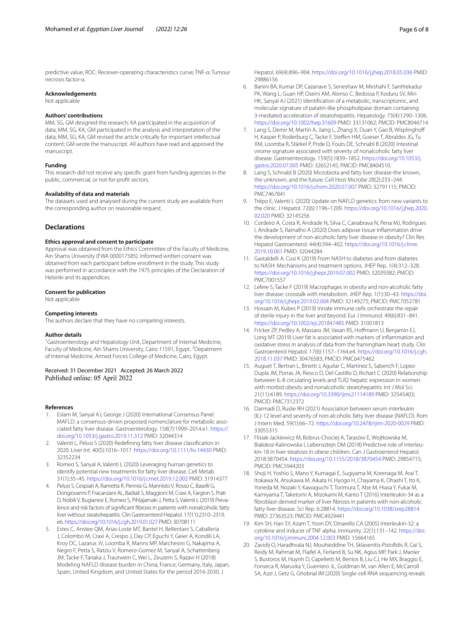predictive value; ROC: Receiver-operating characteristics curve; TNF-α: Tumour necrosis factor-α.

#### **Acknowledgements**

Not applicable

#### **Authors' contributions**

MM, SG, GM designed the research; KA participated in the acquisition of data; MM, SG, KA, GM participated in the analysis and interpretation of the data; MM, SG, KA, GM revised the article critically for important intellectual content; GM wrote the manuscript. All authors have read and approved the manuscript.

#### **Funding**

This research did not receive any specifc grant from funding agencies in the public, commercial, or not-for-proft sectors.

#### **Availability of data and materials**

The datasets used and analysed during the current study are available from the corresponding author on reasonable request.

## **Declarations**

#### **Ethics approval and consent to participate**

Approval was obtained from the Ethics Committee of the Faculty of Medicine, Ain Shams University (FWA 000017585). Informed written consent was obtained from each participant before enrollment in the study. This study was performed in accordance with the 1975 principles of the Declaration of Helsinki and its appendices.

#### **Consent for publication**

Not applicable

#### **Competing interests**

The authors declare that they have no competing interests.

#### **Author details**

<sup>1</sup>Gastroenterology and Hepatology Unit, Department of Internal Medicine, Faculty of Medicine, Ain Shams University, Cairo 11591, Egypt.<sup>2</sup> Depatment of Internal Medicine, Armed Forces College of Medicine, Cairo, Egypt.

Received: 31 December 2021 Accepted: 26 March 2022

#### **References**

- <span id="page-5-0"></span>Eslam M, Sanyal AJ, George J (2020) International Consensus Panel. MAFLD: a consensus-driven proposed nomenclature for metabolic associated fatty liver disease. Gastroenterology. 158(7):1999–2014.e1. [https://](https://doi.org/10.1053/j.gastro.2019.11.312) [doi.org/10.1053/j.gastro.2019.11.312](https://doi.org/10.1053/j.gastro.2019.11.312) PMID: 32044314
- <span id="page-5-1"></span>2. Valenti L, Pelusi S (2020) Redefning fatty liver disease classifcation in 2020. Liver Int. 40(5):1016–1017.<https://doi.org/10.1111/liv.14430> PMID: 32352234
- <span id="page-5-2"></span>3. Romeo S, Sanyal A, Valenti L (2020) Leveraging human genetics to identify potential new treatments for fatty liver disease. Cell Metab. 31(1):35–45.<https://doi.org/10.1016/j.cmet.2019.12.002> PMID: 31914377
- <span id="page-5-3"></span>4. Pelusi S, Cespiati A, Rametta R, Pennisi G, Mannisto V, Rosso C, Baselli G, Dongiovanni P, Fracanzani AL, Badiali S, Maggioni M, Craxi A, Fargion S, Prati D, Nobili V, Bugianesi E, Romeo S, Pihlajamaki J, Petta S, Valenti L (2019) Prevalence and risk factors of signifcant fbrosis in patients with nonalcoholic fatty liver without steatohepatitis. Clin Gastroenterol Hepatol. 17(11):2310–2319. e6.<https://doi.org/10.1016/j.cgh.2019.01.027> PMID: 30708111
- <span id="page-5-4"></span>5. Estes C, Anstee QM, Arias-Loste MT, Bantel H, Bellentani S, Caballeria J, Colombo M, Craxi A, Crespo J, Day CP, Eguchi Y, Geier A, Kondili LA, Kroy DC, Lazarus JV, Loomba R, Manns MP, Marchesini G, Nakajima A, Negro F, Petta S, Ratziu V, Romero-Gomez M, Sanyal A, Schattenberg JM, Tacke F, Tanaka J, Trautwein C, Wei L, Zeuzem S, Razavi H (2018) Modeling NAFLD disease burden in China, France, Germany, Italy, Japan, Spain, United Kingdom, and United States for the period 2016-2030. J

Hepatol. 69(4):896–904.<https://doi.org/10.1016/j.jhep.2018.05.036>PMID: 29886156

- <span id="page-5-5"></span>6. Banini BA, Kumar DP, Cazanave S, Seneshaw M, Mirshahi F, Santhekadur PK, Wang L, Guan HP, Oseini AM, Alonso C, Bedossa P, Koduru SV, Min HK, Sanyal AJ (2021) Identifcation of a metabolic, transcriptomic, and molecular signature of patatin-like phospholipase domain containing 3-mediated acceleration of steatohepatitis. Hepatology. 73(4):1290–1306. <https://doi.org/10.1002/hep.31609>PMID: 33131062; PMCID: PMC8046714
- Lang S, Demir M, Martin A, Jiang L, Zhang X, Duan Y, Gao B, Wisplinghoff H, Kasper P, Roderburg C, Tacke F, Stefen HM, Goeser T, Abraldes JG, Tu XM, Loomba R, Stärkel P, Pride D, Fouts DE, Schnabl B (2020) Intestinal virome signature associated with severity of nonalcoholic fatty liver disease. Gastroenterology. 159(5):1839–1852. [https://doi.org/10.1053/j.](https://doi.org/10.1053/j.gastro.2020.07.005) [gastro.2020.07.005](https://doi.org/10.1053/j.gastro.2020.07.005) PMID: 32652145; PMCID: PMC8404510.
- 8. Lang S, Schnabl B (2020) Microbiota and fatty liver disease-the known, the unknown, and the future. Cell Host Microbe 28(2):233–244. <https://doi.org/10.1016/j.chom.2020.07.007>PMID: 32791115; PMCID: PMC7467841
- <span id="page-5-6"></span>9. Trépo E, Valenti L (2020) Update on NAFLD genetics: from new variants to the clinic. J Hepatol. 72(6):1196–1209. [https://doi.org/10.1016/j.jhep.2020.](https://doi.org/10.1016/j.jhep.2020.02.020) [02.020](https://doi.org/10.1016/j.jhep.2020.02.020) PMID: 32145256
- <span id="page-5-7"></span>10. Cordeiro A, Costa R, Andrade N, Silva C, Canabrava N, Pena MJ, Rodrigues I, Andrade S, Ramalho A (2020) Does adipose tissue infammation drive the development of non-alcoholic fatty liver disease in obesity? Clin Res Hepatol Gastroenterol. 44(4):394–402. [https://doi.org/10.1016/j.clinre.](https://doi.org/10.1016/j.clinre.2019.10.001) [2019.10.001](https://doi.org/10.1016/j.clinre.2019.10.001) PMID: 32044284
- <span id="page-5-8"></span>11. Gastaldelli A, Cusi K (2019) From NASH to diabetes and from diabetes to NASH: Mechanisms and treatment options. JHEP Rep. 1(4):312–328. <https://doi.org/10.1016/j.jhepr.2019.07.002>PMID: 32039382; PMCID: PMC7001557
- <span id="page-5-9"></span>12. Lefere S, Tacke F (2019) Macrophages in obesity and non-alcoholic fatty liver disease: crosstalk with metabolism. JHEP Rep. 1(1):30–43. [https://doi.](https://doi.org/10.1016/j.jhepr.2019.02.004) [org/10.1016/j.jhepr.2019.02.004](https://doi.org/10.1016/j.jhepr.2019.02.004) PMID: 32149275; PMCID: PMC7052781
- <span id="page-5-10"></span>13. Hossain M, Kubes P (2019) Innate immune cells orchestrate the repair of sterile injury in the liver and beyond. Eur J Immunol. 49(6):831–841. <https://doi.org/10.1002/eji.201847485>PMID: 31001813
- <span id="page-5-11"></span>14. Fricker ZP, Pedley A, Massaro JM, Vasan RS, Hofmann U, Benjamin EJ, Long MT (2019) Liver fat is associated with markers of infammation and oxidative stress in analysis of data from the framingham heart study. Clin Gastroenterol Hepatol. 17(6):1157–1164.e4. [https://doi.org/10.1016/j.cgh.](https://doi.org/10.1016/j.cgh.2018.11.037) [2018.11.037](https://doi.org/10.1016/j.cgh.2018.11.037) PMID: 30476583; PMCID: PMC6475462
- 15. Auguet T, Bertran L, Binetti J, Aguilar C, Martínez S, Sabench F, Lopez-Dupla JM, Porras JA, Riesco D, Del Castillo D, Richart C (2020) Relationship between IL-8 circulating levels and TLR2 hepatic expression in women with morbid obesity and nonalcoholic steatohepatitis. Int J Mol Sci. 21(11):4189.<https://doi.org/10.3390/ijms21114189> PMID: 32545403; PMCID: PMC7312372
- 16. Darmadi D, Ruslie RH (2021) Association between serum interleukin (IL)-12 level and severity of non-alcoholic fatty liver disease (NAFLD). Rom J Intern Med. 59(1):66–72. <https://doi.org/10.2478/rjim-2020-0029>PMID: 33055315
- 17. Flisiak-Jackiewicz M, Bobrus-Chociej A, Tarasów E, Wojtkowska M, Białokoz-Kalinowska I, Lebensztejn DM (2018) Predictive role of interleukin-18 in liver steatosis in obese children. Can J Gastroenterol Hepatol. 2018:3870454.<https://doi.org/10.1155/2018/3870454>PMID: 29854715; PMCID: PMC5944203
- <span id="page-5-12"></span>18. Shoji H, Yoshio S, Mano Y, Kumagai E, Sugiyama M, Korenaga M, Arai T, Itokawa N, Atsukawa M, Aikata H, Hyogo H, Chayama K, Ohashi T, Ito K, Yoneda M, Nozaki Y, Kawaguchi T, Torimura T, Abe M, Hiasa Y, Fukai M, Kamiyama T, Taketomi A, Mizokami M, Kanto T (2016) Interleukin-34 as a fbroblast-derived marker of liver fbrosis in patients with non-alcoholic fatty liver disease. Sci Rep. 6:28814.<https://doi.org/10.1038/srep28814> PMID: 27363523; PMCID: PMC4929441
- <span id="page-5-13"></span>19. Kim SH, Han SY, Azam T, Yoon DY, Dinarello CA (2005) Interleukin-32: a cytokine and inducer of TNF alpha. Immunity. 22(1):131–142. [https://doi.](https://doi.org/10.1016/j.immuni.2004.12.003) [org/10.1016/j.immuni.2004.12.003](https://doi.org/10.1016/j.immuni.2004.12.003) PMID: 15664165
- <span id="page-5-14"></span>20. Zavidij O, Haradhvala NJ, Mouhieddine TH, Sklavenitis-Pistofdis R, Cai S, Reidy M, Rahmat M, Flaifel A, Ferland B, Su NK, Agius MP, Park J, Manier S, Bustoros M, Huynh D, Capelletti M, Berrios B, Liu CJ, He MX, Braggio E, Fonseca R, Maruvka Y, Guerriero JL, Goldman M, van Allen E, McCarroll SA, Azzi J, Getz G, Ghobrial IM (2020) Single-cell RNA sequencing reveals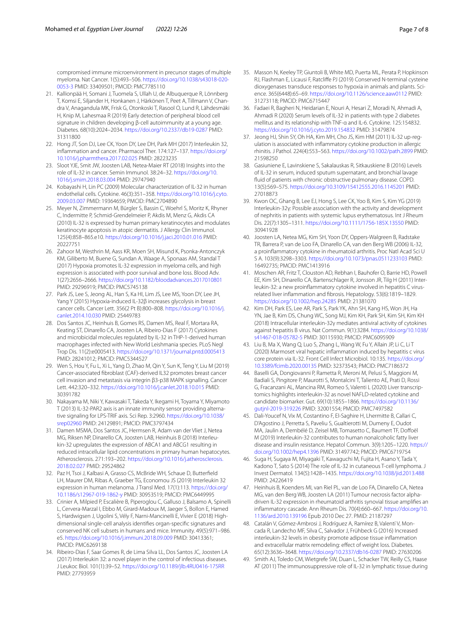compromised immune microenvironment in precursor stages of multiple myeloma. Nat Cancer. 1(5):493–506. [https://doi.org/10.1038/s43018-020-](https://doi.org/10.1038/s43018-020-0053-3) [0053-3](https://doi.org/10.1038/s43018-020-0053-3) PMID: 33409501; PMCID: PMC7785110

- <span id="page-6-0"></span>21. Kallionpää H, Somani J, Tuomela S, Ullah U, de Albuquerque R, Lönnberg T, Komsi E, Siljander H, Honkanen J, Härkönen T, Peet A, Tillmann V, Chandra V, Anagandula MK, Frisk G, Otonkoski T, Rasool O, Lund R, Lähdesmäki H, Knip M, Lahesmaa R (2019) Early detection of peripheral blood cell signature in children developing β-cell autoimmunity at a young age. Diabetes. 68(10):2024–2034. <https://doi.org/10.2337/db19-0287> PMID: 31311800
- <span id="page-6-1"></span>22. Hong JT, Son DJ, Lee CK, Yoon DY, Lee DH, Park MH (2017) Interleukin 32, infammation and cancer. Pharmacol Ther. 174:127–137. [https://doi.org/](https://doi.org/10.1016/j.pharmthera.2017.02.025) [10.1016/j.pharmthera.2017.02.025](https://doi.org/10.1016/j.pharmthera.2017.02.025) PMID: 28223235
- <span id="page-6-2"></span>23. Sloot YJE, Smit JW, Joosten LAB, Netea-Maier RT (2018) Insights into the role of IL-32 in cancer. Semin Immunol. 38:24–32. [https://doi.org/10.](https://doi.org/10.1016/j.smim.2018.03.004) [1016/j.smim.2018.03.004](https://doi.org/10.1016/j.smim.2018.03.004) PMID: 29747940
- <span id="page-6-3"></span>24. Kobayashi H, Lin PC (2009) Molecular characterization of IL-32 in human endothelial cells. Cytokine. 46(3):351–358. [https://doi.org/10.1016/j.cyto.](https://doi.org/10.1016/j.cyto.2009.03.007) [2009.03.007](https://doi.org/10.1016/j.cyto.2009.03.007) PMID: 19364659; PMCID: PMC2704890
- <span id="page-6-4"></span>25. Meyer N, Zimmermann M, Bürgler S, Bassin C, Woehrl S, Moritz K, Rhyner C, Indermitte P, Schmid-Grendelmeier P, Akdis M, Menz G, Akdis CA (2010) IL-32 is expressed by human primary keratinocytes and modulates keratinocyte apoptosis in atopic dermatitis. J Allergy Clin Immunol. 125(4):858–865.e10. <https://doi.org/10.1016/j.jaci.2010.01.016>PMID: 20227751
- <span id="page-6-5"></span>26. Zahoor M, Westhrin M, Aass KR, Moen SH, Misund K, Psonka-Antonczyk KM, Giliberto M, Buene G, Sundan A, Waage A, Sponaas AM, Standal T (2017) Hypoxia promotes IL-32 expression in myeloma cells, and high expression is associated with poor survival and bone loss. Blood Adv. 1(27):2656–2666. <https://doi.org/10.1182/bloodadvances.2017010801> PMID: 29296919; PMCID: PMC5745138
- <span id="page-6-6"></span>27. Park JS, Lee S, Jeong AL, Han S, Ka HI, Lim JS, Lee MS, Yoon DY, Lee JH, Yang Y (2015) Hypoxia-induced IL-32β increases glycolysis in breast cancer cells. Cancer Lett. 356(2 Pt B):800–808. [https://doi.org/10.1016/j.](https://doi.org/10.1016/j.canlet.2014.10.030) [canlet.2014.10.030](https://doi.org/10.1016/j.canlet.2014.10.030) PMID: 25449783
- <span id="page-6-7"></span>28. Dos Santos JC, Heinhuis B, Gomes RS, Damen MS, Real F, Mortara RA, Keating ST, Dinarello CA, Joosten LA, Ribeiro-Dias F (2017) Cytokines and microbicidal molecules regulated by IL-32 in THP-1-derived human macrophages infected with New World Leishmania species. PLoS Negl Trop Dis. 11(2):e0005413.<https://doi.org/10.1371/journal.pntd.0005413> PMID: 28241012; PMCID: PMC5344527
- <span id="page-6-8"></span>29. Wen S, Hou Y, Fu L, Xi L, Yang D, Zhao M, Qin Y, Sun K, Teng Y, Liu M (2019) Cancer-associated fbroblast (CAF)-derived IL32 promotes breast cancer cell invasion and metastasis via integrin β3-p38 MAPK signalling. Cancer Lett. 442:320–332.<https://doi.org/10.1016/j.canlet.2018.10.015>PMID: 30391782
- <span id="page-6-9"></span>30. Nakayama M, Niki Y, Kawasaki T, Takeda Y, Ikegami H, Toyama Y, Miyamoto T (2013) IL-32-PAR2 axis is an innate immunity sensor providing alternative signaling for LPS-TRIF axis. Sci Rep. 3:2960. [https://doi.org/10.1038/](https://doi.org/10.1038/srep02960) [srep02960](https://doi.org/10.1038/srep02960) PMID: 24129891; PMCID: PMC3797434
- <span id="page-6-10"></span>31. Damen MSMA, Dos Santos JC, Hermsen R, Adam van der Vliet J, Netea MG, Riksen NP, Dinarello CA, Joosten LAB, Heinhuis B (2018) Interleukin-32 upregulates the expression of ABCA1 and ABCG1 resulting in reduced intracellular lipid concentrations in primary human hepatocytes. Atherosclerosis. 271:193–202. [https://doi.org/10.1016/j.atherosclerosis.](https://doi.org/10.1016/j.atherosclerosis.2018.02.027) [2018.02.027](https://doi.org/10.1016/j.atherosclerosis.2018.02.027) PMID: 29524862
- <span id="page-6-11"></span>32. Paz H, Tsoi J, Kalbasi A, Grasso CS, McBride WH, Schaue D, Butterfeld LH, Maurer DM, Ribas A, Graeber TG, Economou JS (2019) Interleukin 32 expression in human melanoma. J Transl Med. 17(1):113. [https://doi.org/](https://doi.org/10.1186/s12967-019-1862-y) [10.1186/s12967-019-1862-y](https://doi.org/10.1186/s12967-019-1862-y) PMID: 30953519; PMCID: PMC6449995
- <span id="page-6-12"></span>33. Crinier A, Milpied P, Escalière B, Piperoglou C, Galluso J, Balsamo A, Spinelli L, Cervera-Marzal I, Ebbo M, Girard-Madoux M, Jaeger S, Bollon E, Hamed S, Hardwigsen J, Ugolini S, Vély F, Narni-Mancinelli E, Vivier E (2018) Highdimensional single-cell analysis identifes organ-specifc signatures and conserved NK cell subsets in humans and mice. Immunity. 49(5):971–986. e5. <https://doi.org/10.1016/j.immuni.2018.09.009>PMID: 30413361; PMCID: PMC6269138
- <span id="page-6-13"></span>34. Ribeiro-Dias F, Saar Gomes R, de Lima Silva LL, Dos Santos JC, Joosten LA (2017) Interleukin 32: a novel player in the control of infectious diseases. J Leukoc Biol. 101(1):39–52.<https://doi.org/10.1189/jlb.4RU0416-175RR> PMID: 27793959
- <span id="page-6-14"></span>35. Masson N, Keeley TP, Giuntoli B, White MD, Puerta ML, Perata P, Hopkinson RJ, Flashman E, Licausi F, Ratclife PJ (2019) Conserved N-terminal cysteine dioxygenases transduce responses to hypoxia in animals and plants. Science. 365(6448):65–69.<https://doi.org/10.1126/science.aaw0112>PMID: 31273118; PMCID: PMC6715447
- <span id="page-6-15"></span>36. Fadaei R, Bagheri N, Heidarian E, Nouri A, Hesari Z, Moradi N, Ahmadi A, Ahmadi R (2020) Serum levels of IL-32 in patients with type 2 diabetes mellitus and its relationship with TNF-α and IL-6. Cytokine. 125:154832. <https://doi.org/10.1016/j.cyto.2019.154832>PMID: 31479874
- <span id="page-6-16"></span>37. Jeong HJ, Shin SY, Oh HA, Kim MH, Cho JS, Kim HM (2011) IL-32 up-regulation is associated with infammatory cytokine production in allergic rhinitis. J Pathol. 224(4):553–563.<https://doi.org/10.1002/path.2899>PMID: 21598250
- <span id="page-6-17"></span>38. Gasiuniene E, Lavinskiene S, Sakalauskas R, Sitkauskiene B (2016) Levels of IL-32 in serum, induced sputum supernatant, and bronchial lavage fuid of patients with chronic obstructive pulmonary disease. COPD. 13(5):569–575. <https://doi.org/10.3109/15412555.2016.1145201>PMID: 27018873
- <span id="page-6-18"></span>39. Kwon OC, Ghang B, Lee EJ, Hong S, Lee CK, Yoo B, Kim S, Kim YG (2019) Interleukin-32γ: Possible association with the activity and development of nephritis in patients with systemic lupus erythematosus. Int J Rheum Dis. 22(7):1305–1311.<https://doi.org/10.1111/1756-185X.13550> PMID: 30941928
- <span id="page-6-19"></span>40. Joosten LA, Netea MG, Kim SH, Yoon DY, Oppers-Walgreen B, Radstake TR, Barrera P, van de Loo FA, Dinarello CA, van den Berg WB (2006) IL-32, a proinfammatory cytokine in rheumatoid arthritis. Proc Natl Acad Sci U S A. 103(9):3298–3303.<https://doi.org/10.1073/pnas.0511233103> PMID: 16492735; PMCID: PMC1413916
- <span id="page-6-20"></span>41. Moschen AR, Fritz T, Clouston AD, Rebhan I, Bauhofer O, Barrie HD, Powell EE, Kim SH, Dinarello CA, Bartenschlager R, Jonsson JR, Tilg H (2011) Interleukin-32: a new proinfammatory cytokine involved in hepatitis C virusrelated liver infammation and fbrosis. Hepatology. 53(6):1819–1829. <https://doi.org/10.1002/hep.24285>PMID: 21381070
- 42. Kim DH, Park ES, Lee AR, Park S, Park YK, Ahn SH, Kang HS, Won JH, Ha YN, Jae B, Kim DS, Chung WC, Song MJ, Kim KH, Park SH, Kim SH, Kim KH (2018) Intracellular interleukin-32γ mediates antiviral activity of cytokines against hepatitis B virus. Nat Commun. 9(1):3284. [https://doi.org/10.1038/](https://doi.org/10.1038/s41467-018-05782-5) [s41467-018-05782-5](https://doi.org/10.1038/s41467-018-05782-5) PMID: 30115930; PMCID: PMC6095909
- 43. Liu B, Ma X, Wang Q, Luo S, Zhang L, Wang W, Fu Y, Allain JP, Li C, Li T (2020) Marmoset viral hepatic infammation induced by hepatitis c virus core protein via IL-32. Front Cell Infect Microbiol. 10:135. [https://doi.org/](https://doi.org/10.3389/fcimb.2020.00135) [10.3389/fcimb.2020.00135](https://doi.org/10.3389/fcimb.2020.00135) PMID: 32373543; PMCID: PMC7186372
- <span id="page-6-26"></span>44. Baselli GA, Dongiovanni P, Rametta R, Meroni M, Pelusi S, Maggioni M, Badiali S, Pingitore P, Maurotti S, Montalcini T, Taliento AE, Prati D, Rossi G, Fracanzani AL, Mancina RM, Romeo S, Valenti L (2020) Liver transcriptomics highlights interleukin-32 as novel NAFLD-related cytokine and candidate biomarker. Gut. 69(10):1855–1866. [https://doi.org/10.1136/](https://doi.org/10.1136/gutjnl-2019-319226) [gutjnl-2019-319226](https://doi.org/10.1136/gutjnl-2019-319226) PMID: 32001554; PMCID: PMC7497582
- <span id="page-6-21"></span>45. Dali-Youcef N, Vix M, Costantino F, El-Saghire H, Lhermitte B, Callari C, D'Agostino J, Perretta S, Paveliu S, Gualtierotti M, Dumeny E, Oudot MA, Jaulin A, Dembélé D, Zeisel MB, Tomasetto C, Baumert TF, Dofoël M (2019) Interleukin-32 contributes to human nonalcoholic fatty liver disease and insulin resistance. Hepatol Commun. 3(9):1205–1220. [https://](https://doi.org/10.1002/hep4.1396) [doi.org/10.1002/hep4.1396](https://doi.org/10.1002/hep4.1396) PMID: 31497742; PMCID: PMC6719754
- <span id="page-6-22"></span>46. Suga H, Sugaya M, Miyagaki T, Kawaguchi M, Fujita H, Asano Y, Tada Y, Kadono T, Sato S (2014) The role of IL-32 in cutaneous T-cell lymphoma. J Invest Dermatol. 134(5):1428–1435.<https://doi.org/10.1038/jid.2013.488> PMID: 24226419
- <span id="page-6-23"></span>47. Heinhuis B, Koenders MI, van Riel PL, van de Loo FA, Dinarello CA, Netea MG, van den Berg WB, Joosten LA (2011) Tumour necrosis factor alphadriven IL-32 expression in rheumatoid arthritis synovial tissue amplifes an infammatory cascade. Ann Rheum Dis. 70(4):660–667. [https://doi.org/10.](https://doi.org/10.1136/ard.2010.139196) [1136/ard.2010.139196](https://doi.org/10.1136/ard.2010.139196) Epub 2010 Dec 27. PMID: 21187297
- <span id="page-6-24"></span>48. Catalán V, Gómez-Ambrosi J, Rodríguez A, Ramírez B, Valentí V, Moncada R, Landecho MF, Silva C, Salvador J, Frühbeck G (2016) Increased interleukin-32 levels in obesity promote adipose tissue infammation and extracellular matrix remodeling: effect of weight loss. Diabetes. 65(12):3636–3648. <https://doi.org/10.2337/db16-0287>PMID: 27630206
- <span id="page-6-25"></span>49. Smith AJ, Toledo CM, Wietgrefe SW, Duan L, Schacker TW, Reilly CS, Haase AT (2011) The immunosuppressive role of IL-32 in lymphatic tissue during